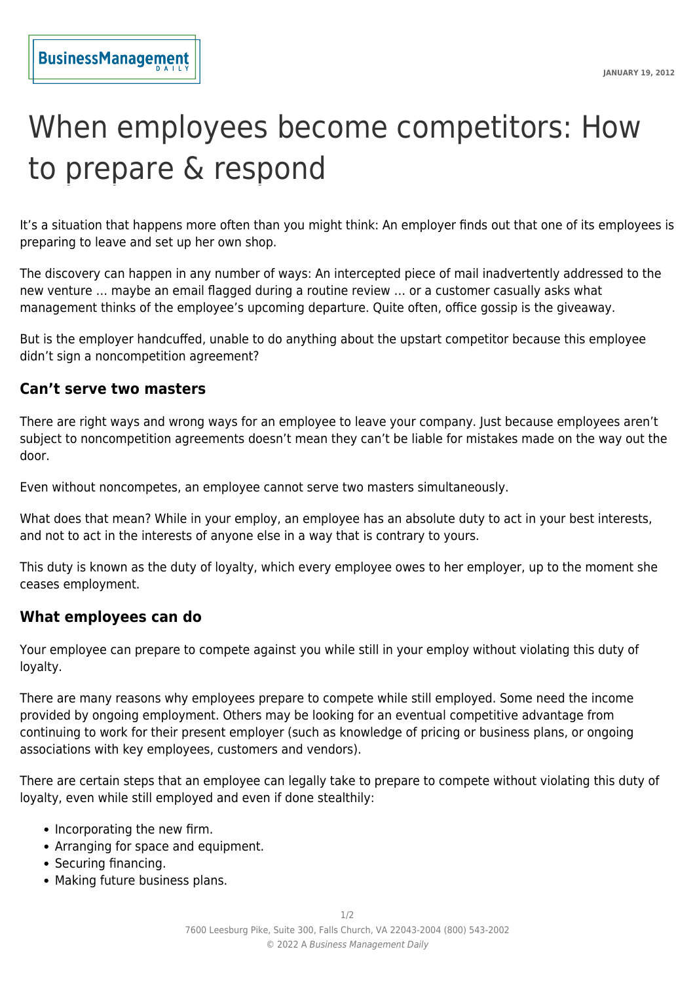# When employees become competitors: How to prepare & respond

It's a situation that happens more often than you might think: An employer finds out that one of its employees is preparing to leave and set up her own shop.

The discovery can happen in any number of ways: An intercepted piece of mail inadvertently addressed to the new venture … maybe an email flagged during a routine review … or a customer casually asks what management thinks of the employee's upcoming departure. Quite often, office gossip is the giveaway.

But is the employer handcuffed, unable to do anything about the upstart competitor because this employee didn't sign a noncompetition agreement?

#### **Can't serve two masters**

There are right ways and wrong ways for an employee to leave your company. Just because employees aren't subject to noncompetition agreements doesn't mean they can't be liable for mistakes made on the way out the door.

Even without noncompetes, an employee cannot serve two masters simultaneously.

What does that mean? While in your employ, an employee has an absolute duty to act in your best interests, and not to act in the interests of anyone else in a way that is contrary to yours.

This duty is known as the duty of loyalty, which every employee owes to her employer, up to the moment she ceases employment.

#### **What employees can do**

Your employee can prepare to compete against you while still in your employ without violating this duty of loyalty.

There are many reasons why employees prepare to compete while still employed. Some need the income provided by ongoing employment. Others may be looking for an eventual competitive advantage from continuing to work for their present employer (such as knowledge of pricing or business plans, or ongoing associations with key employees, customers and vendors).

There are certain steps that an employee can legally take to prepare to compete without violating this duty of loyalty, even while still employed and even if done stealthily:

- Incorporating the new firm.
- Arranging for space and equipment.
- Securing financing.
- Making future business plans.